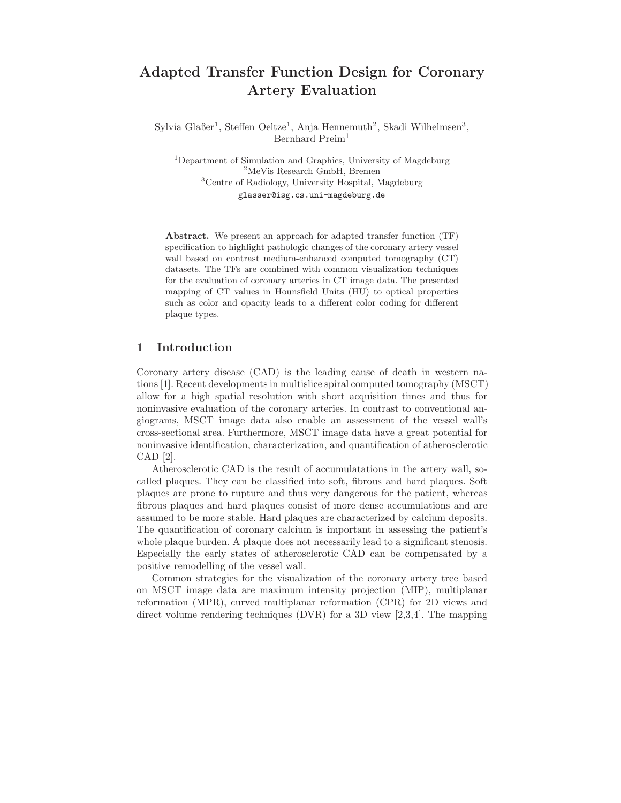# **Adapted Transfer Function Design for Coronary Artery Evaluation**

Sylvia Glaßer<sup>1</sup>, Steffen Oeltze<sup>1</sup>, Anja Hennemuth<sup>2</sup>, Skadi Wilhelmsen<sup>3</sup>, Bernhard Preim<sup>1</sup>

Department of Simulation and Graphics, University of Magdeburg MeVis Research GmbH, Bremen Centre of Radiology, University Hospital, Magdeburg glasser@isg.cs.uni-magdeburg.de

**Abstract.** We present an approach for adapted transfer function (TF) specification to highlight pathologic changes of the coronary artery vessel wall based on contrast medium-enhanced computed tomography (CT) datasets. The TFs are combined with common visualization techniques for the evaluation of coronary arteries in CT image data. The presented mapping of CT values in Hounsfield Units (HU) to optical properties such as color and opacity leads to a different color coding for different plaque types.

#### **1 Introduction**

Coronary artery disease (CAD) is the leading cause of death in western nations [1]. Recent developments in multislice spiral computed tomography (MSCT) allow for a high spatial resolution with short acquisition times and thus for noninvasive evaluation of the coronary arteries. In contrast to conventional angiograms, MSCT image data also enable an assessment of the vessel wall's cross-sectional area. Furthermore, MSCT image data have a great potential for noninvasive identification, characterization, and quantification of atherosclerotic CAD [2].

Atherosclerotic CAD is the result of accumulatations in the artery wall, socalled plaques. They can be classified into soft, fibrous and hard plaques. Soft plaques are prone to rupture and thus very dangerous for the patient, whereas fibrous plaques and hard plaques consist of more dense accumulations and are assumed to be more stable. Hard plaques are characterized by calcium deposits. The quantification of coronary calcium is important in assessing the patient's whole plaque burden. A plaque does not necessarily lead to a significant stenosis. Especially the early states of atherosclerotic CAD can be compensated by a positive remodelling of the vessel wall.

Common strategies for the visualization of the coronary artery tree based on MSCT image data are maximum intensity projection (MIP), multiplanar reformation (MPR), curved multiplanar reformation (CPR) for 2D views and direct volume rendering techniques (DVR) for a 3D view [2,3,4]. The mapping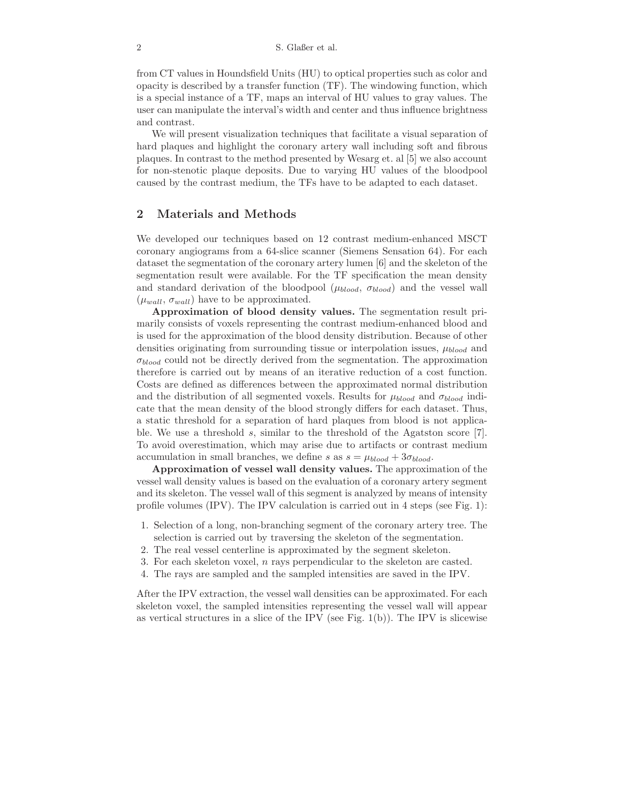from CT values in Houndsfield Units (HU) to optical properties such as color and opacity is described by a transfer function (TF). The windowing function, which is a special instance of a TF, maps an interval of HU values to gray values. The user can manipulate the interval's width and center and thus influence brightness and contrast.

We will present visualization techniques that facilitate a visual separation of hard plaques and highlight the coronary artery wall including soft and fibrous plaques. In contrast to the method presented by Wesarg et. al [5] we also account for non-stenotic plaque deposits. Due to varying HU values of the bloodpool caused by the contrast medium, the TFs have to be adapted to each dataset.

# **2 Materials and Methods**

We developed our techniques based on 12 contrast medium-enhanced MSCT coronary angiograms from a 64-slice scanner (Siemens Sensation 64). For each dataset the segmentation of the coronary artery lumen [6] and the skeleton of the segmentation result were available. For the TF specification the mean density and standard derivation of the bloodpool (μ*blood*, σ*blood*) and the vessel wall  $(\mu_{wall}, \sigma_{wall})$  have to be approximated.

**Approximation of blood density values.** The segmentation result primarily consists of voxels representing the contrast medium-enhanced blood and is used for the approximation of the blood density distribution. Because of other densities originating from surrounding tissue or interpolation issues, μ*blood* and σ*blood* could not be directly derived from the segmentation. The approximation therefore is carried out by means of an iterative reduction of a cost function. Costs are defined as differences between the approximated normal distribution and the distribution of all segmented voxels. Results for  $\mu_{blood}$  and  $\sigma_{blood}$  indicate that the mean density of the blood strongly differs for each dataset. Thus, a static threshold for a separation of hard plaques from blood is not applicable. We use a threshold s, similar to the threshold of the Agatston score  $[7]$ . To avoid overestimation, which may arise due to artifacts or contrast medium accumulation in small branches, we define s as  $s = \mu_{blood} + 3\sigma_{blood}$ .

**Approximation of vessel wall density values.** The approximation of the vessel wall density values is based on the evaluation of a coronary artery segment and its skeleton. The vessel wall of this segment is analyzed by means of intensity profile volumes (IPV). The IPV calculation is carried out in 4 steps (see Fig. 1):

- 1. Selection of a long, non-branching segment of the coronary artery tree. The selection is carried out by traversing the skeleton of the segmentation.
- 2. The real vessel centerline is approximated by the segment skeleton.
- 3. For each skeleton voxel, n rays perpendicular to the skeleton are casted.
- 4. The rays are sampled and the sampled intensities are saved in the IPV.

After the IPV extraction, the vessel wall densities can be approximated. For each skeleton voxel, the sampled intensities representing the vessel wall will appear as vertical structures in a slice of the IPV (see Fig. 1(b)). The IPV is slicewise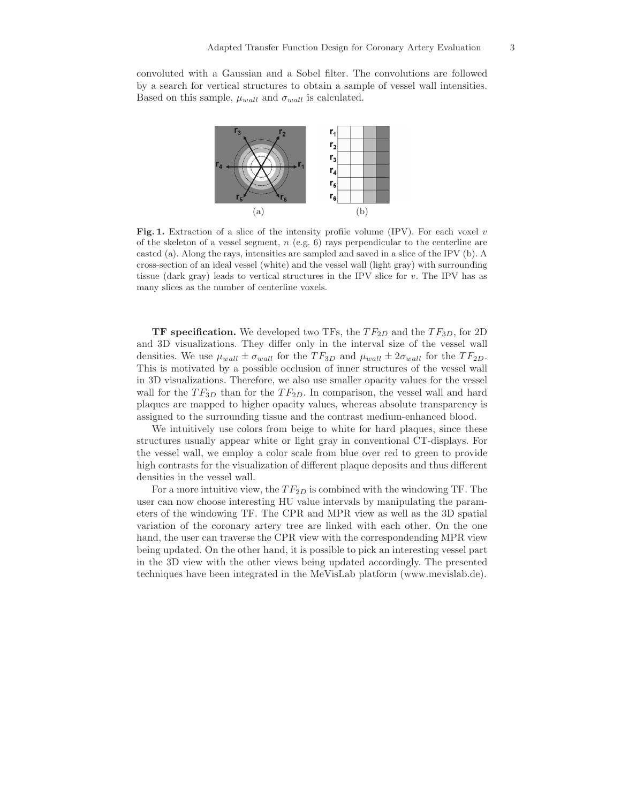convoluted with a Gaussian and a Sobel filter. The convolutions are followed by a search for vertical structures to obtain a sample of vessel wall intensities. Based on this sample,  $\mu_{wall}$  and  $\sigma_{wall}$  is calculated.



**Fig. 1.** Extraction of a slice of the intensity profile volume (IPV). For each voxel *<sup>v</sup>* of the skeleton of a vessel segment, *n* (e.g. 6) rays perpendicular to the centerline are casted (a). Along the rays, intensities are sampled and saved in a slice of the IPV (b). A cross-section of an ideal vessel (white) and the vessel wall (light gray) with surrounding tissue (dark gray) leads to vertical structures in the IPV slice for *v*. The IPV has as many slices as the number of centerline voxels.

**TF specification.** We developed two TFs, the  $TF_{2D}$  and the  $TF_{3D}$ , for 2D and 3D visualizations. They differ only in the interval size of the vessel wall densities. We use  $\mu_{wall} \pm \sigma_{wall}$  for the  $TF_{3D}$  and  $\mu_{wall} \pm 2\sigma_{wall}$  for the  $TF_{2D}$ . This is motivated by a possible occlusion of inner structures of the vessel wall in 3D visualizations. Therefore, we also use smaller opacity values for the vessel wall for the  $TF_{3D}$  than for the  $TF_{2D}$ . In comparison, the vessel wall and hard plaques are mapped to higher opacity values, whereas absolute transparency is assigned to the surrounding tissue and the contrast medium-enhanced blood.

We intuitively use colors from beige to white for hard plaques, since these structures usually appear white or light gray in conventional CT-displays. For the vessel wall, we employ a color scale from blue over red to green to provide high contrasts for the visualization of different plaque deposits and thus different densities in the vessel wall.

For a more intuitive view, the  $TF_{2D}$  is combined with the windowing TF. The user can now choose interesting HU value intervals by manipulating the parameters of the windowing TF. The CPR and MPR view as well as the 3D spatial variation of the coronary artery tree are linked with each other. On the one hand, the user can traverse the CPR view with the correspondending MPR view being updated. On the other hand, it is possible to pick an interesting vessel part in the 3D view with the other views being updated accordingly. The presented techniques have been integrated in the MeVisLab platform (www.mevislab.de).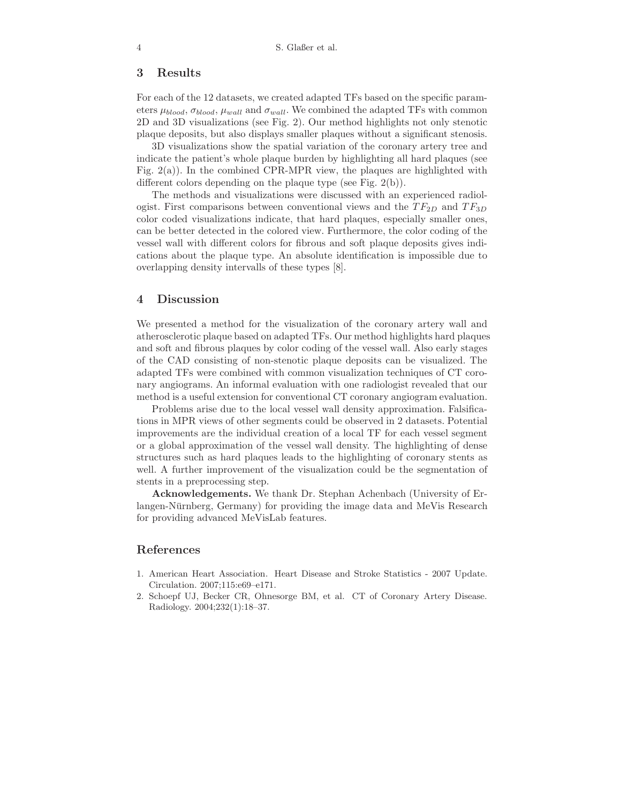# **3 Results**

For each of the 12 datasets, we created adapted TFs based on the specific parameters  $\mu_{blood}, \sigma_{blood}, \mu_{wall}$  and  $\sigma_{wall}$ . We combined the adapted TFs with common 2D and 3D visualizations (see Fig. 2). Our method highlights not only stenotic plaque deposits, but also displays smaller plaques without a significant stenosis.

3D visualizations show the spatial variation of the coronary artery tree and indicate the patient's whole plaque burden by highlighting all hard plaques (see Fig.  $2(a)$ ). In the combined CPR-MPR view, the plaques are highlighted with different colors depending on the plaque type (see Fig. 2(b)).

The methods and visualizations were discussed with an experienced radiologist. First comparisons between conventional views and the  $TF_{2D}$  and  $TF_{3D}$ color coded visualizations indicate, that hard plaques, especially smaller ones, can be better detected in the colored view. Furthermore, the color coding of the vessel wall with different colors for fibrous and soft plaque deposits gives indications about the plaque type. An absolute identification is impossible due to overlapping density intervalls of these types [8].

### **4 Discussion**

We presented a method for the visualization of the coronary artery wall and atherosclerotic plaque based on adapted TFs. Our method highlights hard plaques and soft and fibrous plaques by color coding of the vessel wall. Also early stages of the CAD consisting of non-stenotic plaque deposits can be visualized. The adapted TFs were combined with common visualization techniques of CT coronary angiograms. An informal evaluation with one radiologist revealed that our method is a useful extension for conventional CT coronary angiogram evaluation.

Problems arise due to the local vessel wall density approximation. Falsifications in MPR views of other segments could be observed in 2 datasets. Potential improvements are the individual creation of a local TF for each vessel segment or a global approximation of the vessel wall density. The highlighting of dense structures such as hard plaques leads to the highlighting of coronary stents as well. A further improvement of the visualization could be the segmentation of stents in a preprocessing step.

**Acknowledgements.** We thank Dr. Stephan Achenbach (University of Erlangen-Nürnberg, Germany) for providing the image data and MeVis Research for providing advanced MeVisLab features.

# **References**

- 1. American Heart Association. Heart Disease and Stroke Statistics 2007 Update. Circulation. 2007;115:e69–e171.
- 2. Schoepf UJ, Becker CR, Ohnesorge BM, et al. CT of Coronary Artery Disease. Radiology. 2004;232(1):18–37.